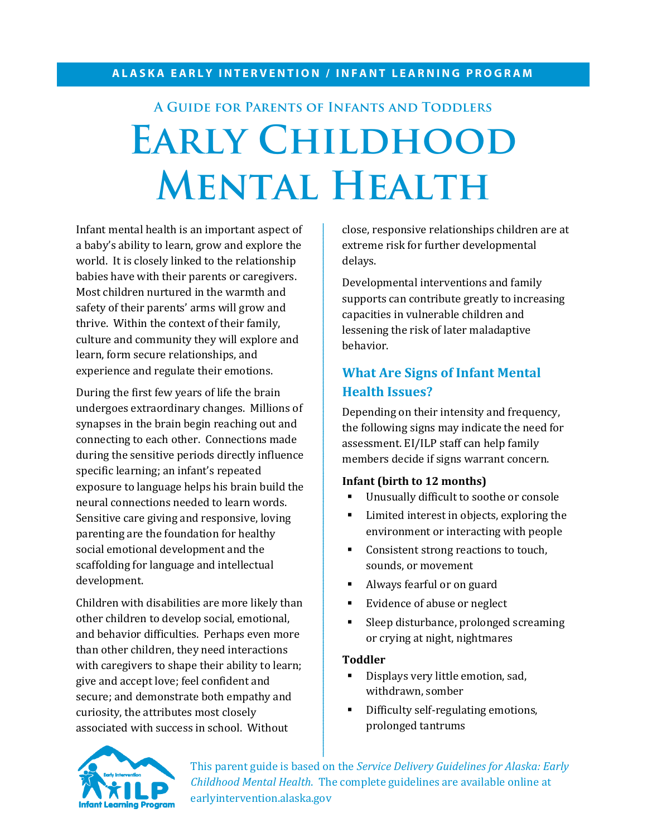# **A Guide for Parents of Infants and Toddlers** EARLY CHILDHOOD **Mental Health**

Infant mental health is an important aspect of a baby's ability to learn, grow and explore the world. It is closely linked to the relationship babies have with their parents or caregivers. Most children nurtured in the warmth and safety of their parents' arms will grow and thrive. Within the context of their family, culture and community they will explore and learn, form secure relationships, and experience and regulate their emotions.

During the first few years of life the brain undergoes extraordinary changes. Millions of synapses in the brain begin reaching out and connecting to each other. Connections made during the sensitive periods directly influence specific learning; an infant's repeated exposure to language helps his brain build the neural connections needed to learn words. Sensitive care giving and responsive, loving parenting are the foundation for healthy social emotional development and the scaffolding for language and intellectual development.

Children with disabilities are more likely than other children to develop social, emotional, and behavior difficulties. Perhaps even more than other children, they need interactions with caregivers to shape their ability to learn; give and accept love; feel confident and secure; and demonstrate both empathy and curiosity, the attributes most closely associated with success in school. Without

close, responsive relationships children are at extreme risk for further developmental delays.

Developmental interventions and family supports can contribute greatly to increasing capacities in vulnerable children and lessening the risk of later maladaptive behavior.

# **What Are Signs of Infant Mental Health Issues?**

Depending on their intensity and frequency, the following signs may indicate the need for assessment. EI/ILP staff can help family members decide if signs warrant concern.

#### **Infant (birth to 12 months)**

- Unusually difficult to soothe or console
- **EXECUTE:** Limited interest in objects, exploring the environment or interacting with people
- Consistent strong reactions to touch, sounds, or movement
- Always fearful or on guard
- **Evidence of abuse or neglect**
- Sleep disturbance, prolonged screaming or crying at night, nightmares

#### **Toddler**

- Displays very little emotion, sad, withdrawn, somber
- Difficulty self-regulating emotions, prolonged tantrums



This parent guide is based on the *Service Delivery Guidelines for Alaska: Early Childhood Mental Health*. The complete guidelines are available online at earlyintervention.alaska.gov